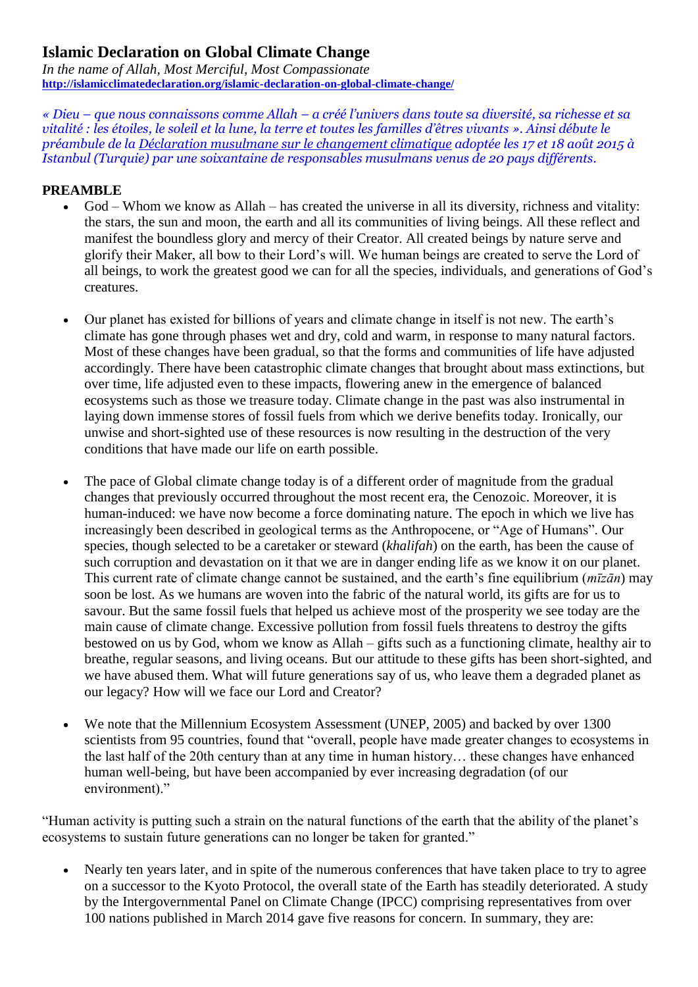## **Islamic Declaration on Global Climate Change**

*In the name of Allah, Most Merciful, Most Compassionate* **<http://islamicclimatedeclaration.org/islamic-declaration-on-global-climate-change/>**

*« Dieu – que nous connaissons comme Allah – a créé l'univers dans toute sa diversité, sa richesse et sa vitalité : les étoiles, le soleil et la lune, la terre et toutes les familles d'êtres vivants ». Ainsi débute le préambule de la [Déclaration musulmane sur le changement climatique](http://islamicclimatedeclaration.org/islamic-declaration-on-global-climate-change/) adoptée les 17 et 18 août 2015 à Istanbul (Turquie) par une soixantaine de responsables musulmans venus de 20 pays différents.*

## **PREAMBLE**

- God Whom we know as Allah has created the universe in all its diversity, richness and vitality: the stars, the sun and moon, the earth and all its communities of living beings. All these reflect and manifest the boundless glory and mercy of their Creator. All created beings by nature serve and glorify their Maker, all bow to their Lord's will. We human beings are created to serve the Lord of all beings, to work the greatest good we can for all the species, individuals, and generations of God's creatures.
- Our planet has existed for billions of years and climate change in itself is not new. The earth's climate has gone through phases wet and dry, cold and warm, in response to many natural factors. Most of these changes have been gradual, so that the forms and communities of life have adjusted accordingly. There have been catastrophic climate changes that brought about mass extinctions, but over time, life adjusted even to these impacts, flowering anew in the emergence of balanced ecosystems such as those we treasure today. Climate change in the past was also instrumental in laying down immense stores of fossil fuels from which we derive benefits today. Ironically, our unwise and short-sighted use of these resources is now resulting in the destruction of the very conditions that have made our life on earth possible.
- The pace of Global climate change today is of a different order of magnitude from the gradual changes that previously occurred throughout the most recent era, the Cenozoic. Moreover, it is human-induced: we have now become a force dominating nature. The epoch in which we live has increasingly been described in geological terms as the Anthropocene, or "Age of Humans". Our species, though selected to be a caretaker or steward (*khalifah*) on the earth, has been the cause of such corruption and devastation on it that we are in danger ending life as we know it on our planet. This current rate of climate change cannot be sustained, and the earth's fine equilibrium (*mīzān*) may soon be lost. As we humans are woven into the fabric of the natural world, its gifts are for us to savour. But the same fossil fuels that helped us achieve most of the prosperity we see today are the main cause of climate change. Excessive pollution from fossil fuels threatens to destroy the gifts bestowed on us by God, whom we know as Allah – gifts such as a functioning climate, healthy air to breathe, regular seasons, and living oceans. But our attitude to these gifts has been short-sighted, and we have abused them. What will future generations say of us, who leave them a degraded planet as our legacy? How will we face our Lord and Creator?
- We note that the Millennium Ecosystem Assessment (UNEP, 2005) and backed by over 1300 scientists from 95 countries, found that "overall, people have made greater changes to ecosystems in the last half of the 20th century than at any time in human history… these changes have enhanced human well-being, but have been accompanied by ever increasing degradation (of our environment)."

"Human activity is putting such a strain on the natural functions of the earth that the ability of the planet's ecosystems to sustain future generations can no longer be taken for granted."

 Nearly ten years later, and in spite of the numerous conferences that have taken place to try to agree on a successor to the Kyoto Protocol, the overall state of the Earth has steadily deteriorated. A study by the Intergovernmental Panel on Climate Change (IPCC) comprising representatives from over 100 nations published in March 2014 gave five reasons for concern. In summary, they are: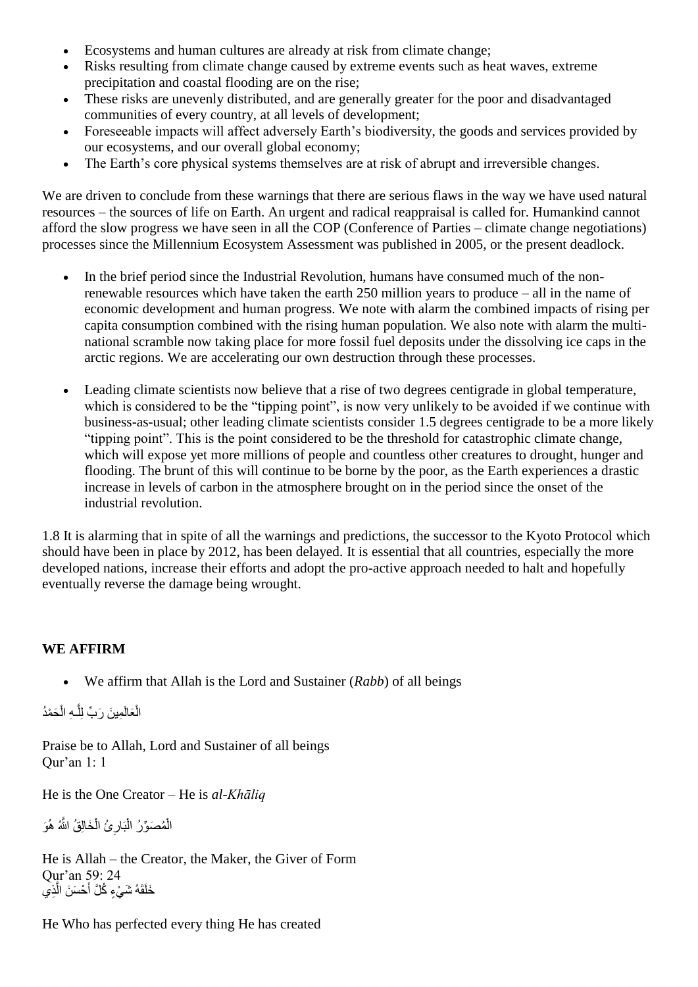- Ecosystems and human cultures are already at risk from climate change;
- Risks resulting from climate change caused by extreme events such as heat waves, extreme precipitation and coastal flooding are on the rise;
- These risks are unevenly distributed, and are generally greater for the poor and disadvantaged communities of every country, at all levels of development;
- Foreseeable impacts will affect adversely Earth's biodiversity, the goods and services provided by our ecosystems, and our overall global economy;
- The Earth's core physical systems themselves are at risk of abrupt and irreversible changes.

We are driven to conclude from these warnings that there are serious flaws in the way we have used natural resources – the sources of life on Earth. An urgent and radical reappraisal is called for. Humankind cannot afford the slow progress we have seen in all the COP (Conference of Parties – climate change negotiations) processes since the Millennium Ecosystem Assessment was published in 2005, or the present deadlock.

- In the brief period since the Industrial Revolution, humans have consumed much of the nonrenewable resources which have taken the earth 250 million years to produce – all in the name of economic development and human progress. We note with alarm the combined impacts of rising per capita consumption combined with the rising human population. We also note with alarm the multinational scramble now taking place for more fossil fuel deposits under the dissolving ice caps in the arctic regions. We are accelerating our own destruction through these processes.
- Leading climate scientists now believe that a rise of two degrees centigrade in global temperature, which is considered to be the "tipping point", is now very unlikely to be avoided if we continue with business-as-usual; other leading climate scientists consider 1.5 degrees centigrade to be a more likely "tipping point". This is the point considered to be the threshold for catastrophic climate change, which will expose yet more millions of people and countless other creatures to drought, hunger and flooding. The brunt of this will continue to be borne by the poor, as the Earth experiences a drastic increase in levels of carbon in the atmosphere brought on in the period since the onset of the industrial revolution.

1.8 It is alarming that in spite of all the warnings and predictions, the successor to the Kyoto Protocol which should have been in place by 2012, has been delayed. It is essential that all countries, especially the more developed nations, increase their efforts and adopt the pro-active approach needed to halt and hopefully eventually reverse the damage being wrought.

## **WE AFFIRM**

We affirm that Allah is the Lord and Sustainer (*Rabb*) of all beings

لْعَالَمِينَ رَبِّ لِلَّـهِ الْحَمْدُ ĺ ĺ ĺ Î

Praise be to Allah, Lord and Sustainer of all beings Qur'an 1: 1

He is the One Creator – He is *al-Khāliq*

لْمُصَوِّرُ الْبَارِئُ الْخَالِقُ اللَّهُ هُوَ أ ļ  $\ddot{\phantom{0}}$ ; Ĺ Ĺ

He is Allah – the Creator, the Maker, the Giver of Form Qur'an 59: 24 أحْسَنَ الَّذِي ĺ ĺ

He Who has perfected every thing He has created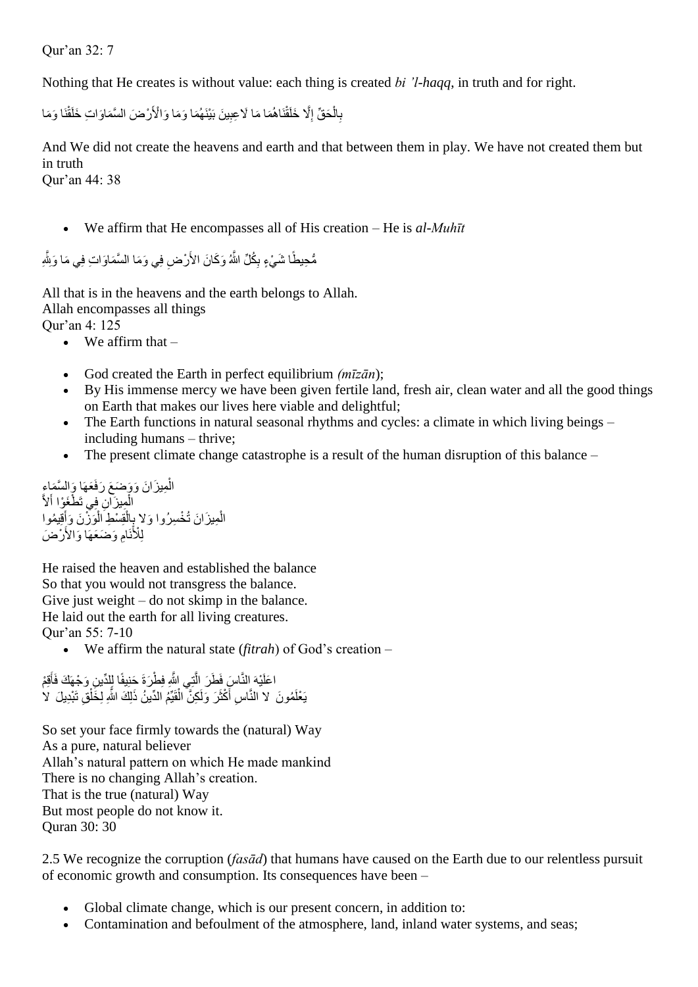Qur'an 32: 7

Nothing that He creates is without value: each thing is created *bi 'l-haqq*, in truth and for right.

بِالْحَقِّ إِلَّا خَلَقْنَاهُمَا مَا لَاعِبِينَ بَيْنَهُمَا وَمَا وَالْأَرْضَ السَّمَاوَاتِ خَلْقَنَا وَمَا  $\ddotsc$ Ĩ Í Ļ رُ i  $\overline{\phantom{a}}$ Ĵ.  $\overline{\phantom{a}}$ 

And We did not create the heavens and earth and that between them in play. We have not created them but in truth Qur'an 44: 38

We affirm that He encompasses all of His creation – He is *al-Muhīt* 

 $\ddot{\phantom{0}}$ ئ بِكَلِّ اللهُ وَكَانَ الأَرْضِ فِي وَمَا الْسَّمَاوَاتِ فِي مَا Ĩ j  $\ddot{\phantom{0}}$ 

All that is in the heavens and the earth belongs to Allah. Allah encompasses all things Qur'an 4: 125

- $\bullet$  We affirm that  $-$
- God created the Earth in perfect equilibrium *(mīzān*);
- By His immense mercy we have been given fertile land, fresh air, clean water and all the good things on Earth that makes our lives here viable and delightful;
- The Earth functions in natural seasonal rhythms and cycles: a climate in which living beings including humans – thrive;
- The present climate change catastrophe is a result of the human disruption of this balance –

لمِيزَانَ وَوَضَعَ رَفَعَهَا وَالسَّمَاءِ ĺ Ĺ Ĩ لْمِيزَانِ فِي تَطْغَوْا أَ ĺ Ĺ لْمِيزَانَ تُخْسِرُوا وَلا بِالْقِسْطِ الْوَزْنَ وَأَقِيمُوا أأ ĺ Ĺ .<br>پ i<br>i امِ وَضَعَهَا وَالأَرْضَ Ĩ  $\overline{\phantom{a}}$ 

He raised the heaven and established the balance So that you would not transgress the balance. Give just weight  $-$  do not skimp in the balance. He laid out the earth for all living creatures. Qur'an 55: 7-10

We affirm the natural state (*fitrah*) of God's creation –

لْتِي اللهِ فِطْرَةَ حَنِيفًا لِلْدِّينِ وَجْهَكَ فَأَقِمْ ĺ أمنا ï į ĺ í.  $\ddot{\phantom{0}}$ ĺ اسِ أَكْثَرَ وَلَٰكِنَّ الْقَيِّمُ الدِّينُ ذَٰلِكَ اللهِ لِخَلْقِ تَبْدِيلَ ۖ لا ĺ  $\frac{1}{2}$ Į Ĺ ĺ ة<br>أ  $\ddot{\phantom{0}}$ ĺ

So set your face firmly towards the (natural) Way As a pure, natural believer Allah's natural pattern on which He made mankind There is no changing Allah's creation. That is the true (natural) Way But most people do not know it. Quran 30: 30

2.5 We recognize the corruption (*fasād*) that humans have caused on the Earth due to our relentless pursuit of economic growth and consumption. Its consequences have been –

- Global climate change, which is our present concern, in addition to:
- Contamination and befoulment of the atmosphere, land, inland water systems, and seas;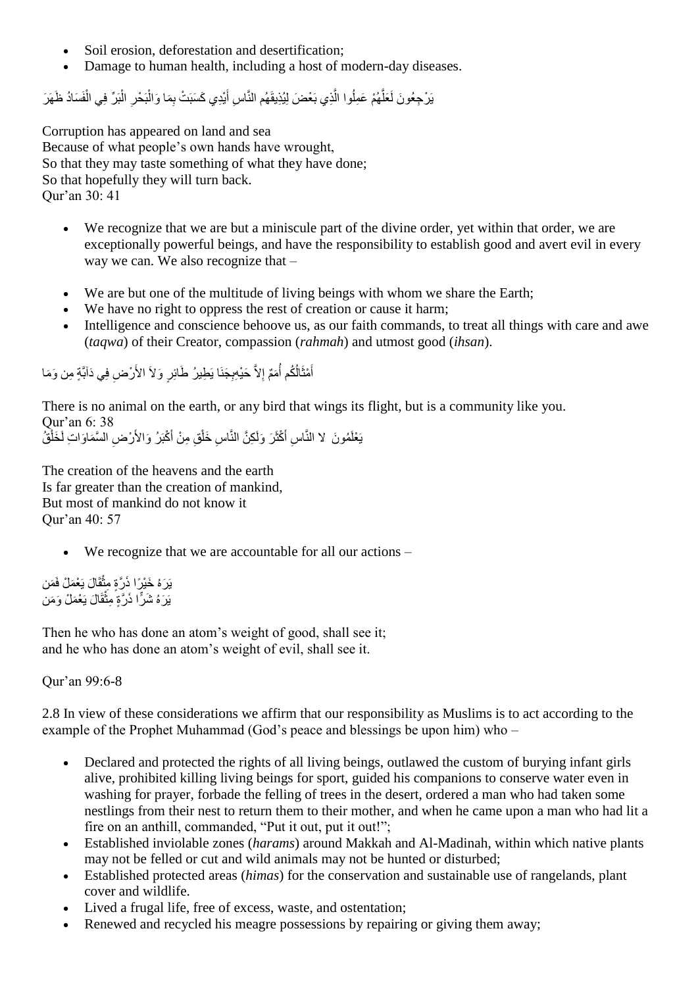- Soil erosion, deforestation and desertification:
- Damage to human health, including a host of modern-day diseases.

لْهُمْ عَمِلُوا الَّذِي بَعْضَ لِيُذِيقَهُم النَّاسِ أَيْدِي كَسَبَتْ بِمَا وَالْبَحْرِ الْبَرِّ فِي الْفَسَادُ ظَهَرَ í ĺ Ĺ ; ĺ ĺ ĺ  $\ddot{\phantom{0}}$ Ļ ĺ Ĺ  $\overline{a}$ 

Corruption has appeared on land and sea Because of what people's own hands have wrought, So that they may taste something of what they have done; So that hopefully they will turn back. Qur'an 30: 41

- We recognize that we are but a miniscule part of the divine order, yet within that order, we are exceptionally powerful beings, and have the responsibility to establish good and avert evil in every way we can. We also recognize that –
- We are but one of the multitude of living beings with whom we share the Earth;
- We have no right to oppress the rest of creation or cause it harm;
- Intelligence and conscience behoove us, as our faith commands, to treat all things with care and awe (*taqwa*) of their Creator, compassion (*rahmah*) and utmost good (*ihsan*).

أَمْثَالُكُم أُمَمٌّ إِلاَّ حَيْهِبِجَنَا يَطِيرُ طَائِرٍ وَلاَ الأَرْضِ فِي دَأَبَّةٍ مِن وَمَا Ĩ ŗ  $\overline{a}$ Ĩ ĺ ĺ

There is no animal on the earth, or any bird that wings its flight, but is a community like you. Qur'an 6: 38

اسِ أَكْثَرَ وَلَكِنَّ النَّاسِ خَلْقِ مِنْ أَكْبَرُ وَالأَرْضِ السَّمَاوَاتِ لَخَلْقُ Ì Ĩ ٠,  $\ddot{\phantom{0}}$ ĺ  $\ddot{\cdot}$  $\ddot{\phantom{0}}$ ĺ

The creation of the heavens and the earth Is far greater than the creation of mankind, But most of mankind do not know it Qur'an 40: 57

We recognize that we are accountable for all our actions –

ثقَالَ يَعْمَلْ فَمَن ĺ į ثقالَ يَعْمَلْ وَمَن į **SK**  $\frac{1}{2}$ 

Then he who has done an atom's weight of good, shall see it; and he who has done an atom's weight of evil, shall see it.

Qur'an 99:6-8

2.8 In view of these considerations we affirm that our responsibility as Muslims is to act according to the example of the Prophet Muhammad (God's peace and blessings be upon him) who –

- Declared and protected the rights of all living beings, outlawed the custom of burying infant girls alive, prohibited killing living beings for sport, guided his companions to conserve water even in washing for prayer, forbade the felling of trees in the desert, ordered a man who had taken some nestlings from their nest to return them to their mother, and when he came upon a man who had lit a fire on an anthill, commanded, "Put it out, put it out!";
- Established inviolable zones (*harams*) around Makkah and Al-Madinah, within which native plants may not be felled or cut and wild animals may not be hunted or disturbed;
- Established protected areas (*himas*) for the conservation and sustainable use of rangelands, plant cover and wildlife.
- Lived a frugal life, free of excess, waste, and ostentation;
- Renewed and recycled his meagre possessions by repairing or giving them away;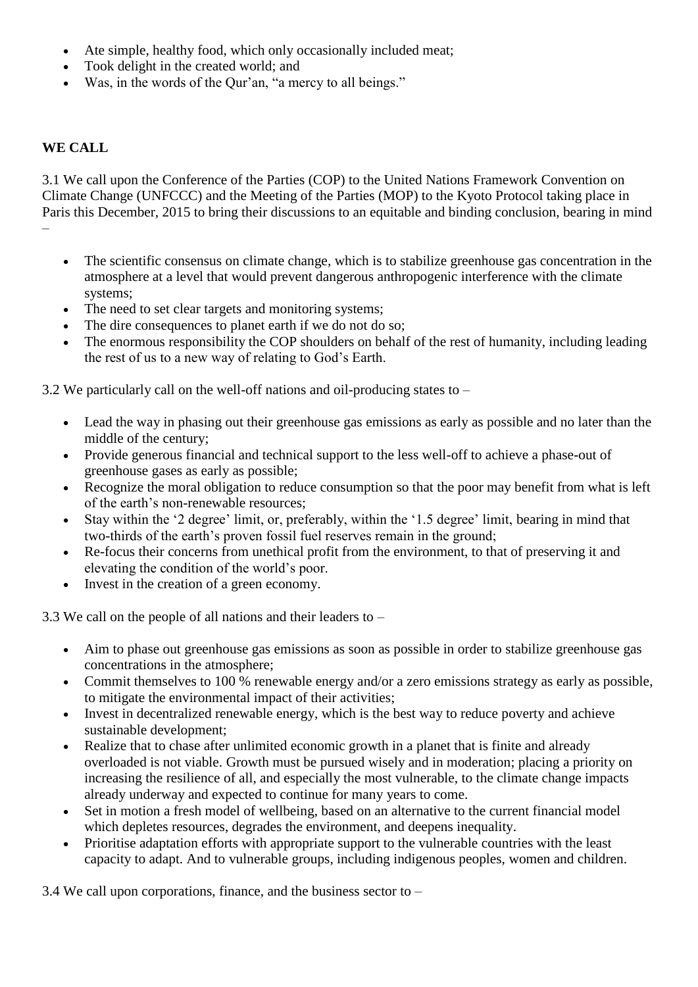- Ate simple, healthy food, which only occasionally included meat;
- Took delight in the created world; and
- Was, in the words of the Qur'an, "a mercy to all beings."

## **WE CALL**

3.1 We call upon the Conference of the Parties (COP) to the United Nations Framework Convention on Climate Change (UNFCCC) and the Meeting of the Parties (MOP) to the Kyoto Protocol taking place in Paris this December, 2015 to bring their discussions to an equitable and binding conclusion, bearing in mind –

- The scientific consensus on climate change, which is to stabilize greenhouse gas concentration in the atmosphere at a level that would prevent dangerous anthropogenic interference with the climate systems;
- The need to set clear targets and monitoring systems;
- The dire consequences to planet earth if we do not do so;
- The enormous responsibility the COP shoulders on behalf of the rest of humanity, including leading the rest of us to a new way of relating to God's Earth.

3.2 We particularly call on the well-off nations and oil-producing states to –

- Lead the way in phasing out their greenhouse gas emissions as early as possible and no later than the middle of the century;
- Provide generous financial and technical support to the less well-off to achieve a phase-out of greenhouse gases as early as possible;
- Recognize the moral obligation to reduce consumption so that the poor may benefit from what is left of the earth's non-renewable resources;
- Stay within the '2 degree' limit, or, preferably, within the '1.5 degree' limit, bearing in mind that two-thirds of the earth's proven fossil fuel reserves remain in the ground;
- Re-focus their concerns from unethical profit from the environment, to that of preserving it and elevating the condition of the world's poor.
- Invest in the creation of a green economy.

3.3 We call on the people of all nations and their leaders to –

- Aim to phase out greenhouse gas emissions as soon as possible in order to stabilize greenhouse gas concentrations in the atmosphere;
- Commit themselves to 100 % renewable energy and/or a zero emissions strategy as early as possible, to mitigate the environmental impact of their activities;
- Invest in decentralized renewable energy, which is the best way to reduce poverty and achieve sustainable development;
- Realize that to chase after unlimited economic growth in a planet that is finite and already overloaded is not viable. Growth must be pursued wisely and in moderation; placing a priority on increasing the resilience of all, and especially the most vulnerable, to the climate change impacts already underway and expected to continue for many years to come.
- Set in motion a fresh model of wellbeing, based on an alternative to the current financial model which depletes resources, degrades the environment, and deepens inequality.
- Prioritise adaptation efforts with appropriate support to the vulnerable countries with the least capacity to adapt. And to vulnerable groups, including indigenous peoples, women and children.

3.4 We call upon corporations, finance, and the business sector to –